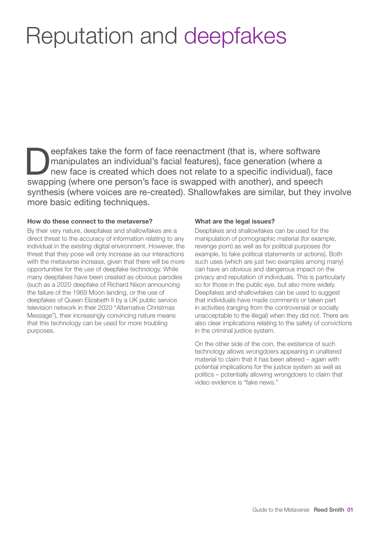## Reputation and deepfakes

eepfakes take the form of face reenactment (that is, where software<br>manipulates an individual's facial features), face generation (where a<br>new face is created which does not relate to a specific individual), fa<br>awapping (w manipulates an individual's facial features), face generation (where a new face is created which does not relate to a specific individual), face swapping (where one person's face is swapped with another), and speech synthesis (where voices are re-created). Shallowfakes are similar, but they involve more basic editing techniques.

## How do these connect to the metaverse?

By their very nature, deepfakes and shallowfakes are a direct threat to the accuracy of information relating to any individual in the existing digital environment. However, the threat that they pose will only increase as our interactions with the metaverse increase, given that there will be more opportunities for the use of deepfake technology. While many deepfakes have been created as obvious parodies (such as a 2020 deepfake of Richard Nixon announcing the failure of the 1969 Moon landing, or the use of deepfakes of Queen Elizabeth II by a UK public service television network in their 2020 "Alternative Christmas Message"), their increasingly convincing nature means that this technology can be used for more troubling purposes.

## What are the legal issues?

Deepfakes and shallowfakes can be used for the manipulation of pornographic material (for example, revenge porn) as well as for political purposes (for example, to fake political statements or actions). Both such uses (which are just two examples among many) can have an obvious and dangerous impact on the privacy and reputation of individuals. This is particularly so for those in the public eye, but also more widely. Deepfakes and shallowfakes can be used to suggest that individuals have made comments or taken part in activities (ranging from the controversial or socially unacceptable to the illegal) when they did not. There are also clear implications relating to the safety of convictions in the criminal justice system.

On the other side of the coin, the existence of such technology allows wrongdoers appearing in unaltered material to claim that it has been altered – again with potential implications for the justice system as well as politics – potentially allowing wrongdoers to claim that video evidence is "fake news."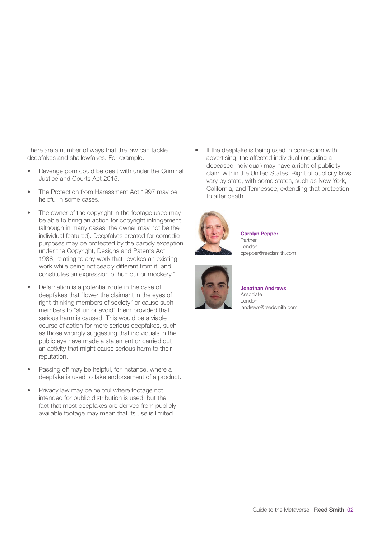There are a number of ways that the law can tackle deepfakes and shallowfakes. For example:

- Revenge porn could be dealt with under the Criminal Justice and Courts Act 2015.
- The Protection from Harassment Act 1997 may be helpful in some cases.
- The owner of the copyright in the footage used may be able to bring an action for copyright infringement (although in many cases, the owner may not be the individual featured). Deepfakes created for comedic purposes may be protected by the parody exception under the Copyright, Designs and Patents Act 1988, relating to any work that "evokes an existing work while being noticeably different from it, and constitutes an expression of humour or mockery."
- Defamation is a potential route in the case of deepfakes that "lower the claimant in the eyes of right-thinking members of society" or cause such members to "shun or avoid" them provided that serious harm is caused. This would be a viable course of action for more serious deepfakes, such as those wrongly suggesting that individuals in the public eye have made a statement or carried out an activity that might cause serious harm to their reputation.
- Passing off may be helpful, for instance, where a deepfake is used to fake endorsement of a product.
- Privacy law may be helpful where footage not intended for public distribution is used, but the fact that most deepfakes are derived from publicly available footage may mean that its use is limited.

If the deepfake is being used in connection with advertising, the affected individual (including a deceased individual) may have a right of publicity claim within the United States. Right of publicity laws vary by state, with some states, such as New York, California, and Tennessee, extending that protection to after death.



Carolyn Pepper Partner London cpepper@reedsmith.com



Jonathan Andrews Associate London jandrews@reedsmith.com